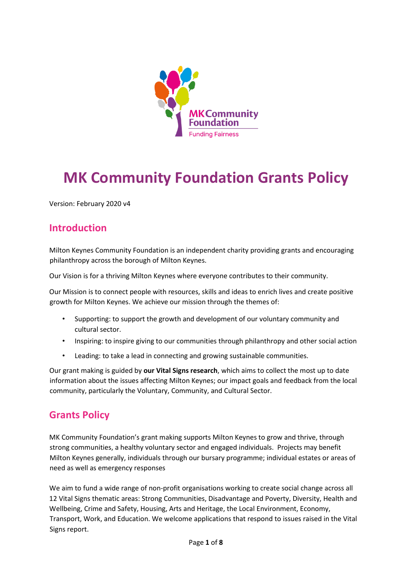

# **MK Community Foundation Grants Policy**

Version: February 2020 v4

# **Introduction**

Milton Keynes Community Foundation is an independent charity providing grants and encouraging philanthropy across the borough of Milton Keynes.

Our Vision is for a thriving Milton Keynes where everyone contributes to their community.

Our Mission is to connect people with resources, skills and ideas to enrich lives and create positive growth for Milton Keynes. We achieve our mission through the themes of:

- Supporting: to support the growth and development of our voluntary community and cultural sector.
- Inspiring: to inspire giving to our communities through philanthropy and other social action
- Leading: to take a lead in connecting and growing sustainable communities.

Our grant making is guided by **our Vital Signs research**, which aims to collect the most up to date information about the issues affecting Milton Keynes; our impact goals and feedback from the local community, particularly the Voluntary, Community, and Cultural Sector.

# **Grants Policy**

MK Community Foundation's grant making supports Milton Keynes to grow and thrive, through strong communities, a healthy voluntary sector and engaged individuals. Projects may benefit Milton Keynes generally, individuals through our bursary programme; individual estates or areas of need as well as emergency responses

We aim to fund a wide range of non-profit organisations working to create social change across all 12 Vital Signs thematic areas: Strong Communities, Disadvantage and Poverty, Diversity, Health and Wellbeing, Crime and Safety, Housing, Arts and Heritage, the Local Environment, Economy, Transport, Work, and Education. We welcome applications that respond to issues raised in the Vital Signs report.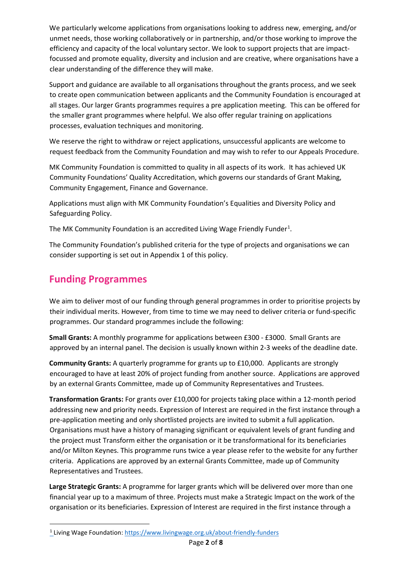We particularly welcome applications from organisations looking to address new, emerging, and/or unmet needs, those working collaboratively or in partnership, and/or those working to improve the efficiency and capacity of the local voluntary sector. We look to support projects that are impactfocussed and promote equality, diversity and inclusion and are creative, where organisations have a clear understanding of the difference they will make.

Support and guidance are available to all organisations throughout the grants process, and we seek to create open communication between applicants and the Community Foundation is encouraged at all stages. Our larger Grants programmes requires a pre application meeting. This can be offered for the smaller grant programmes where helpful. We also offer regular training on applications processes, evaluation techniques and monitoring.

We reserve the right to withdraw or reject applications, unsuccessful applicants are welcome to request feedback from the Community Foundation and may wish to refer to our Appeals Procedure.

MK Community Foundation is committed to quality in all aspects of its work. It has achieved UK Community Foundations' Quality Accreditation, which governs our standards of Grant Making, Community Engagement, Finance and Governance.

Applications must align with MK Community Foundation's Equalities and Diversity Policy and Safeguarding Policy.

The MK Community Foundation is an accredited Living Wage Friendly Funder<sup>[1](#page-1-0)</sup>.

The Community Foundation's published criteria for the type of projects and organisations we can consider supporting is set out in Appendix 1 of this policy.

# **Funding Programmes**

We aim to deliver most of our funding through general programmes in order to prioritise projects by their individual merits. However, from time to time we may need to deliver criteria or fund-specific programmes. Our standard programmes include the following:

**Small Grants:** A monthly programme for applications between £300 - £3000. Small Grants are approved by an internal panel. The decision is usually known within 2-3 weeks of the deadline date.

**Community Grants:** A quarterly programme for grants up to £10,000. Applicants are strongly encouraged to have at least 20% of project funding from another source. Applications are approved by an external Grants Committee, made up of Community Representatives and Trustees.

**Transformation Grants:** For grants over £10,000 for projects taking place within a 12-month period addressing new and priority needs. Expression of Interest are required in the first instance through a pre-application meeting and only shortlisted projects are invited to submit a full application. Organisations must have a history of managing significant or equivalent levels of grant funding and the project must Transform either the organisation or it be transformational for its beneficiaries and/or Milton Keynes. This programme runs twice a year please refer to the website for any further criteria. Applications are approved by an external Grants Committee, made up of Community Representatives and Trustees.

**Large Strategic Grants:** A programme for larger grants which will be delivered over more than one financial year up to a maximum of three. Projects must make a Strategic Impact on the work of the organisation or its beneficiaries. Expression of Interest are required in the first instance through a

<span id="page-1-0"></span><sup>1</sup> Living Wage Foundation:<https://www.livingwage.org.uk/about-friendly-funders>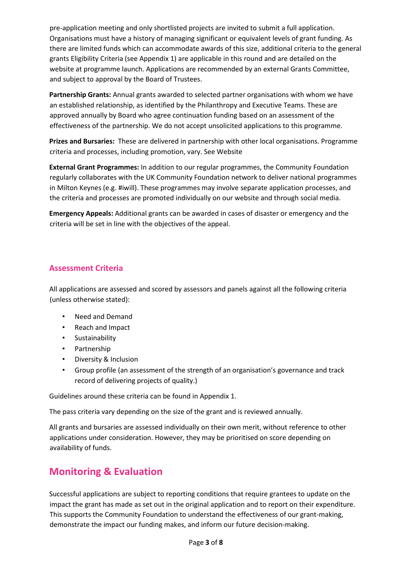pre-application meeting and only shortlisted projects are invited to submit a full application. Organisations must have a history of managing significant or equivalent levels of grant funding. As there are limited funds which can accommodate awards of this size, additional criteria to the general grants Eligibility Criteria (see Appendix 1) are applicable in this round and are detailed on the website at programme launch. Applications are recommended by an external Grants Committee, and subject to approval by the Board of Trustees.

**Partnership Grants:** Annual grants awarded to selected partner organisations with whom we have an established relationship, as identified by the Philanthropy and Executive Teams. These are approved annually by Board who agree continuation funding based on an assessment of the effectiveness of the partnership. We do not accept unsolicited applications to this programme.

**Prizes and Bursaries:** These are delivered in partnership with other local organisations. Programme criteria and processes, including promotion, vary. See Website

**External Grant Programmes:** In addition to our regular programmes, the Community Foundation regularly collaborates with the UK Community Foundation network to deliver national programmes in Milton Keynes (e.g. #iwill). These programmes may involve separate application processes, and the criteria and processes are promoted individually on our website and through social media.

**Emergency Appeals:** Additional grants can be awarded in cases of disaster or emergency and the criteria will be set in line with the objectives of the appeal.

# **Assessment Criteria**

All applications are assessed and scored by assessors and panels against all the following criteria (unless otherwise stated):

- Need and Demand
- Reach and Impact
- Sustainability
- Partnership
- Diversity & Inclusion
- Group profile (an assessment of the strength of an organisation's governance and track record of delivering projects of quality.)

Guidelines around these criteria can be found in Appendix 1.

The pass criteria vary depending on the size of the grant and is reviewed annually.

All grants and bursaries are assessed individually on their own merit, without reference to other applications under consideration. However, they may be prioritised on score depending on availability of funds.

# **Monitoring & Evaluation**

Successful applications are subject to reporting conditions that require grantees to update on the impact the grant has made as set out in the original application and to report on their expenditure. This supports the Community Foundation to understand the effectiveness of our grant-making, demonstrate the impact our funding makes, and inform our future decision-making.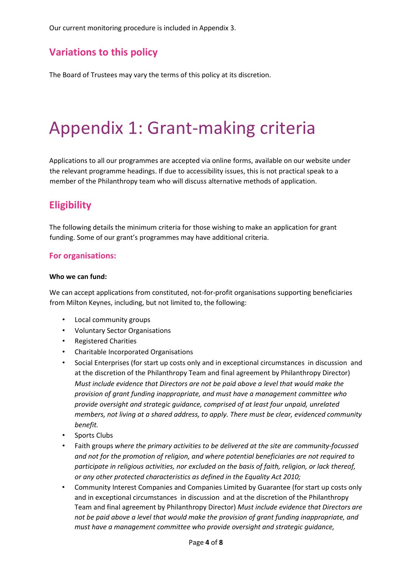Our current monitoring procedure is included in Appendix 3.

# **Variations to this policy**

The Board of Trustees may vary the terms of this policy at its discretion.

# Appendix 1: Grant-making criteria

Applications to all our programmes are accepted via online forms, available on our website under the relevant programme headings. If due to accessibility issues, this is not practical speak to a member of the Philanthropy team who will discuss alternative methods of application.

# **Eligibility**

The following details the minimum criteria for those wishing to make an application for grant funding. Some of our grant's programmes may have additional criteria.

## **For organisations:**

#### **Who we can fund:**

We can accept applications from constituted, not-for-profit organisations supporting beneficiaries from Milton Keynes, including, but not limited to, the following:

- Local community groups
- Voluntary Sector Organisations
- Registered Charities
- Charitable Incorporated Organisations
- Social Enterprises (for start up costs only and in exceptional circumstances in discussion and at the discretion of the Philanthropy Team and final agreement by Philanthropy Director) *Must include evidence that Directors are not be paid above a level that would make the provision of grant funding inappropriate, and must have a management committee who provide oversight and strategic guidance, comprised of at least four unpaid, unrelated members, not living at a shared address, to apply. There must be clear, evidenced community benefit.*
- Sports Clubs
- Faith groups *where the primary activities to be delivered at the site are community-focussed and not for the promotion of religion, and where potential beneficiaries are not required to participate in religious activities, nor excluded on the basis of faith, religion, or lack thereof, or any other protected characteristics as defined in the Equality Act 2010;*
- Community Interest Companies and Companies Limited by Guarantee (for start up costs only and in exceptional circumstances in discussion and at the discretion of the Philanthropy Team and final agreement by Philanthropy Director) *Must include evidence that Directors are not be paid above a level that would make the provision of grant funding inappropriate, and must have a management committee who provide oversight and strategic guidance,*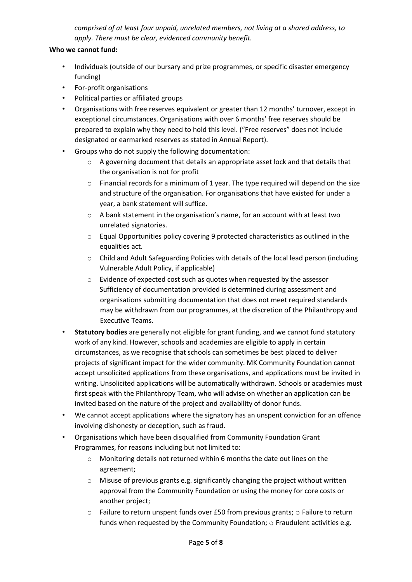*comprised of at least four unpaid, unrelated members, not living at a shared address, to apply. There must be clear, evidenced community benefit.*

## **Who we cannot fund:**

- Individuals (outside of our bursary and prize programmes, or specific disaster emergency funding)
- For-profit organisations
- Political parties or affiliated groups
- Organisations with free reserves equivalent or greater than 12 months' turnover, except in exceptional circumstances. Organisations with over 6 months' free reserves should be prepared to explain why they need to hold this level. ("Free reserves" does not include designated or earmarked reserves as stated in Annual Report).
- Groups who do not supply the following documentation:
	- $\circ$  A governing document that details an appropriate asset lock and that details that the organisation is not for profit
	- $\circ$  Financial records for a minimum of 1 year. The type required will depend on the size and structure of the organisation. For organisations that have existed for under a year, a bank statement will suffice.
	- o A bank statement in the organisation's name, for an account with at least two unrelated signatories.
	- o Equal Opportunities policy covering 9 protected characteristics as outlined in the equalities act.
	- o Child and Adult Safeguarding Policies with details of the local lead person (including Vulnerable Adult Policy, if applicable)
	- o Evidence of expected cost such as quotes when requested by the assessor Sufficiency of documentation provided is determined during assessment and organisations submitting documentation that does not meet required standards may be withdrawn from our programmes, at the discretion of the Philanthropy and Executive Teams.
- **Statutory bodies** are generally not eligible for grant funding, and we cannot fund statutory work of any kind. However, schools and academies are eligible to apply in certain circumstances, as we recognise that schools can sometimes be best placed to deliver projects of significant impact for the wider community. MK Community Foundation cannot accept unsolicited applications from these organisations, and applications must be invited in writing. Unsolicited applications will be automatically withdrawn. Schools or academies must first speak with the Philanthropy Team, who will advise on whether an application can be invited based on the nature of the project and availability of donor funds.
- We cannot accept applications where the signatory has an unspent conviction for an offence involving dishonesty or deception, such as fraud.
- Organisations which have been disqualified from Community Foundation Grant Programmes, for reasons including but not limited to:
	- $\circ$  Monitoring details not returned within 6 months the date out lines on the agreement;
	- $\circ$  Misuse of previous grants e.g. significantly changing the project without written approval from the Community Foundation or using the money for core costs or another project;
	- $\circ$  Failure to return unspent funds over £50 from previous grants;  $\circ$  Failure to return funds when requested by the Community Foundation; o Fraudulent activities e.g.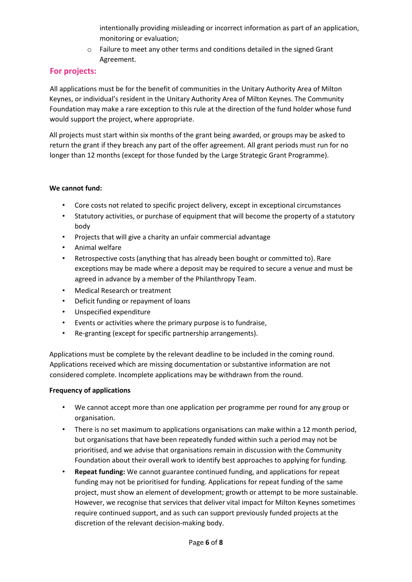intentionally providing misleading or incorrect information as part of an application, monitoring or evaluation;

o Failure to meet any other terms and conditions detailed in the signed Grant Agreement.

# **For projects:**

All applications must be for the benefit of communities in the Unitary Authority Area of Milton Keynes, or individual's resident in the Unitary Authority Area of Milton Keynes. The Community Foundation may make a rare exception to this rule at the direction of the fund holder whose fund would support the project, where appropriate.

All projects must start within six months of the grant being awarded, or groups may be asked to return the grant if they breach any part of the offer agreement. All grant periods must run for no longer than 12 months (except for those funded by the Large Strategic Grant Programme).

## **We cannot fund:**

- Core costs not related to specific project delivery, except in exceptional circumstances
- Statutory activities, or purchase of equipment that will become the property of a statutory body
- Projects that will give a charity an unfair commercial advantage
- Animal welfare
- Retrospective costs (anything that has already been bought or committed to). Rare exceptions may be made where a deposit may be required to secure a venue and must be agreed in advance by a member of the Philanthropy Team.
- Medical Research or treatment
- Deficit funding or repayment of loans
- Unspecified expenditure
- Events or activities where the primary purpose is to fundraise,
- Re-granting (except for specific partnership arrangements).

Applications must be complete by the relevant deadline to be included in the coming round. Applications received which are missing documentation or substantive information are not considered complete. Incomplete applications may be withdrawn from the round.

## **Frequency of applications**

- We cannot accept more than one application per programme per round for any group or organisation.
- There is no set maximum to applications organisations can make within a 12 month period, but organisations that have been repeatedly funded within such a period may not be prioritised, and we advise that organisations remain in discussion with the Community Foundation about their overall work to identify best approaches to applying for funding.
- **Repeat funding:** We cannot guarantee continued funding, and applications for repeat funding may not be prioritised for funding. Applications for repeat funding of the same project, must show an element of development; growth or attempt to be more sustainable. However, we recognise that services that deliver vital impact for Milton Keynes sometimes require continued support, and as such can support previously funded projects at the discretion of the relevant decision-making body.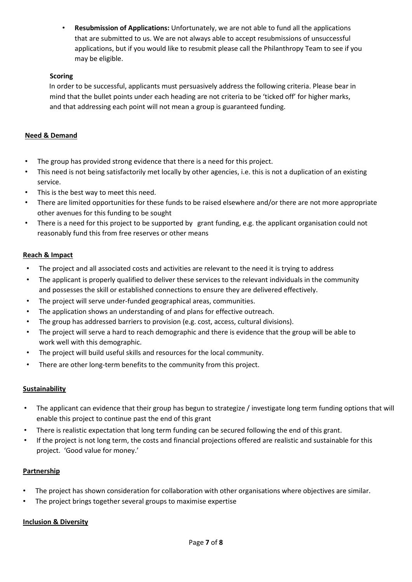• **Resubmission of Applications:** Unfortunately, we are not able to fund all the applications that are submitted to us. We are not always able to accept resubmissions of unsuccessful applications, but if you would like to resubmit please call the Philanthropy Team to see if you may be eligible.

## **Scoring**

In order to be successful, applicants must persuasively address the following criteria. Please bear in mind that the bullet points under each heading are not criteria to be 'ticked off' for higher marks, and that addressing each point will not mean a group is guaranteed funding.

# **Need & Demand**

- The group has provided strong evidence that there is a need for this project.
- This need is not being satisfactorily met locally by other agencies, i.e. this is not a duplication of an existing service.
- This is the best way to meet this need.
- There are limited opportunities for these funds to be raised elsewhere and/or there are not more appropriate other avenues for this funding to be sought
- There is a need for this project to be supported by grant funding, e.g. the applicant organisation could not reasonably fund this from free reserves or other means

## **Reach & Impact**

- The project and all associated costs and activities are relevant to the need it is trying to address
- The applicant is properly qualified to deliver these services to the relevant individuals in the community and possesses the skill or established connections to ensure they are delivered effectively.
- The project will serve under-funded geographical areas, communities.
- The application shows an understanding of and plans for effective outreach.
- The group has addressed barriers to provision (e.g. cost, access, cultural divisions).
- The project will serve a hard to reach demographic and there is evidence that the group will be able to work well with this demographic.
- The project will build useful skills and resources for the local community.
- There are other long-term benefits to the community from this project.

## **Sustainability**

- The applicant can evidence that their group has begun to strategize / investigate long term funding options that will enable this project to continue past the end of this grant
- There is realistic expectation that long term funding can be secured following the end of this grant.
- If the project is not long term, the costs and financial projections offered are realistic and sustainable for this project. 'Good value for money.'

## **Partnership**

- The project has shown consideration for collaboration with other organisations where objectives are similar.
- The project brings together several groups to maximise expertise

## **Inclusion & Diversity**